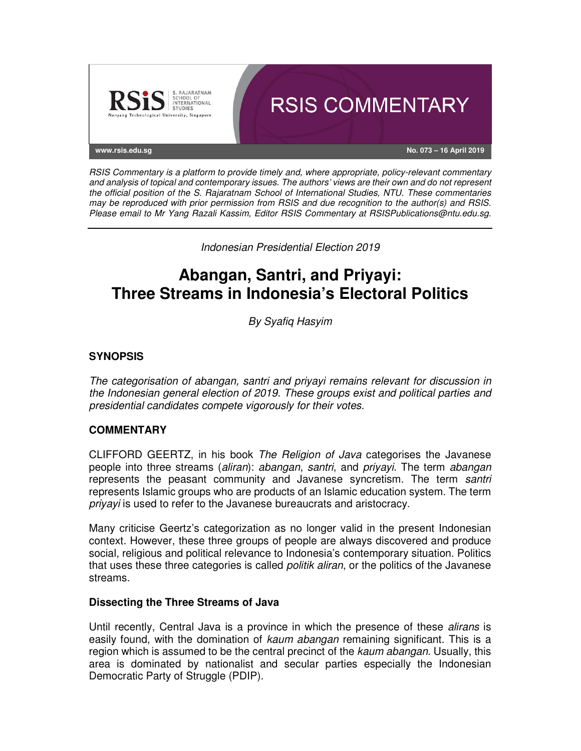

RSIS Commentary is a platform to provide timely and, where appropriate, policy-relevant commentary and analysis of topical and contemporary issues. The authors' views are their own and do not represent the official position of the S. Rajaratnam School of International Studies, NTU. These commentaries may be reproduced with prior permission from RSIS and due recognition to the author(s) and RSIS. Please email to Mr Yang Razali Kassim, Editor RSIS Commentary at RSISPublications@ntu.edu.sg.

Indonesian Presidential Election 2019

# **Abangan, Santri, and Priyayi: Three Streams in Indonesia's Electoral Politics**

By Syafiq Hasyim

## **SYNOPSIS**

The categorisation of abangan, santri and priyayi remains relevant for discussion in the Indonesian general election of 2019. These groups exist and political parties and presidential candidates compete vigorously for their votes.

### **COMMENTARY**

CLIFFORD GEERTZ, in his book The Religion of Java categorises the Javanese people into three streams (aliran): abangan, santri, and priyayi. The term abangan represents the peasant community and Javanese syncretism. The term santri represents Islamic groups who are products of an Islamic education system. The term priyayi is used to refer to the Javanese bureaucrats and aristocracy.

Many criticise Geertz's categorization as no longer valid in the present Indonesian context. However, these three groups of people are always discovered and produce social, religious and political relevance to Indonesia's contemporary situation. Politics that uses these three categories is called *politik aliran*, or the politics of the Javanese streams.

### **Dissecting the Three Streams of Java**

Until recently, Central Java is a province in which the presence of these alirans is easily found, with the domination of kaum abangan remaining significant. This is a region which is assumed to be the central precinct of the kaum abangan. Usually, this area is dominated by nationalist and secular parties especially the Indonesian Democratic Party of Struggle (PDIP).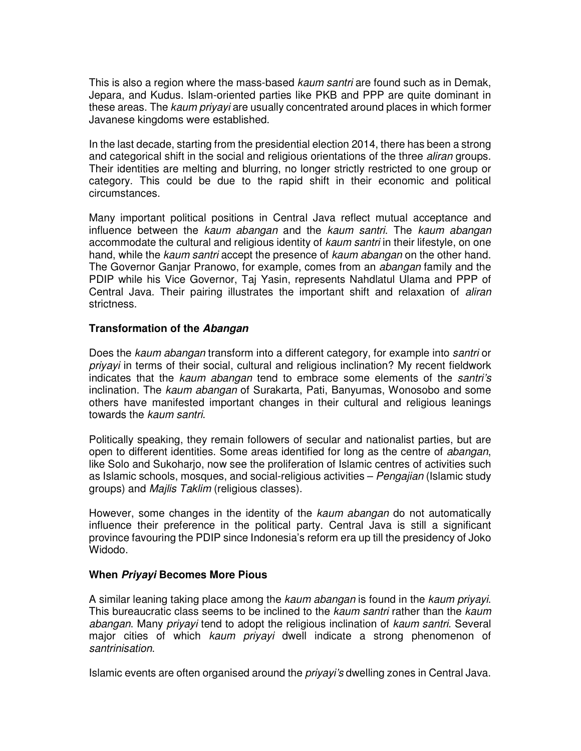This is also a region where the mass-based *kaum santri* are found such as in Demak, Jepara, and Kudus. Islam-oriented parties like PKB and PPP are quite dominant in these areas. The kaum priyayi are usually concentrated around places in which former Javanese kingdoms were established.

In the last decade, starting from the presidential election 2014, there has been a strong and categorical shift in the social and religious orientations of the three aliran groups. Their identities are melting and blurring, no longer strictly restricted to one group or category. This could be due to the rapid shift in their economic and political circumstances.

Many important political positions in Central Java reflect mutual acceptance and influence between the kaum abangan and the kaum santri. The kaum abangan accommodate the cultural and religious identity of kaum santri in their lifestyle, on one hand, while the kaum santri accept the presence of kaum abangan on the other hand. The Governor Ganjar Pranowo, for example, comes from an *abangan* family and the PDIP while his Vice Governor, Taj Yasin, represents Nahdlatul Ulama and PPP of Central Java. Their pairing illustrates the important shift and relaxation of aliran strictness.

### **Transformation of the Abangan**

Does the kaum abangan transform into a different category, for example into santri or priyayi in terms of their social, cultural and religious inclination? My recent fieldwork indicates that the kaum abangan tend to embrace some elements of the santri's inclination. The kaum abangan of Surakarta, Pati, Banyumas, Wonosobo and some others have manifested important changes in their cultural and religious leanings towards the kaum santri.

Politically speaking, they remain followers of secular and nationalist parties, but are open to different identities. Some areas identified for long as the centre of abangan, like Solo and Sukoharjo, now see the proliferation of Islamic centres of activities such as Islamic schools, mosques, and social-religious activities – Pengajian (Islamic study groups) and Majlis Taklim (religious classes).

However, some changes in the identity of the *kaum abangan* do not automatically influence their preference in the political party. Central Java is still a significant province favouring the PDIP since Indonesia's reform era up till the presidency of Joko Widodo.

### **When Priyayi Becomes More Pious**

A similar leaning taking place among the kaum abangan is found in the kaum priyayi. This bureaucratic class seems to be inclined to the kaum santri rather than the kaum abangan. Many priyayi tend to adopt the religious inclination of kaum santri. Several major cities of which kaum priyayi dwell indicate a strong phenomenon of santrinisation.

Islamic events are often organised around the *priyayi's* dwelling zones in Central Java.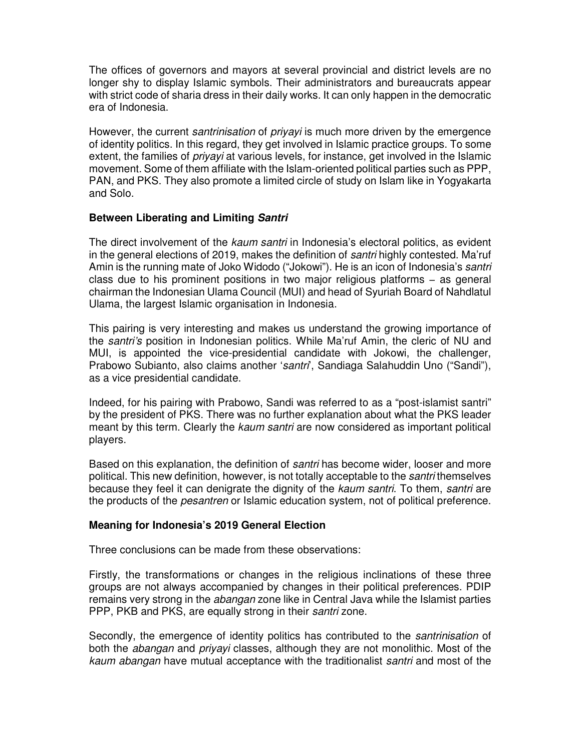The offices of governors and mayors at several provincial and district levels are no longer shy to display Islamic symbols. Their administrators and bureaucrats appear with strict code of sharia dress in their daily works. It can only happen in the democratic era of Indonesia.

However, the current *santrinisation* of *priyayi* is much more driven by the emergence of identity politics. In this regard, they get involved in Islamic practice groups. To some extent, the families of *priyayi* at various levels, for instance, get involved in the Islamic movement. Some of them affiliate with the Islam-oriented political parties such as PPP, PAN, and PKS. They also promote a limited circle of study on Islam like in Yogyakarta and Solo.

### **Between Liberating and Limiting Santri**

The direct involvement of the *kaum santri* in Indonesia's electoral politics, as evident in the general elections of 2019, makes the definition of santri highly contested. Ma'ruf Amin is the running mate of Joko Widodo ("Jokowi"). He is an icon of Indonesia's santri class due to his prominent positions in two major religious platforms − as general chairman the Indonesian Ulama Council (MUI) and head of Syuriah Board of Nahdlatul Ulama, the largest Islamic organisation in Indonesia.

This pairing is very interesting and makes us understand the growing importance of the *santri's* position in Indonesian politics. While Ma'ruf Amin, the cleric of NU and MUI, is appointed the vice-presidential candidate with Jokowi, the challenger, Prabowo Subianto, also claims another 'santri', Sandiaga Salahuddin Uno ("Sandi"), as a vice presidential candidate.

Indeed, for his pairing with Prabowo, Sandi was referred to as a "post-islamist santri" by the president of PKS. There was no further explanation about what the PKS leader meant by this term. Clearly the kaum santri are now considered as important political players.

Based on this explanation, the definition of santri has become wider, looser and more political. This new definition, however, is not totally acceptable to the *santri* themselves because they feel it can denigrate the dignity of the kaum santri. To them, santri are the products of the *pesantren* or Islamic education system, not of political preference.

### **Meaning for Indonesia's 2019 General Election**

Three conclusions can be made from these observations:

Firstly, the transformations or changes in the religious inclinations of these three groups are not always accompanied by changes in their political preferences. PDIP remains very strong in the *abangan* zone like in Central Java while the Islamist parties PPP, PKB and PKS, are equally strong in their santri zone.

Secondly, the emergence of identity politics has contributed to the santrinisation of both the *abangan* and *priyayi* classes, although they are not monolithic. Most of the kaum abangan have mutual acceptance with the traditionalist santri and most of the